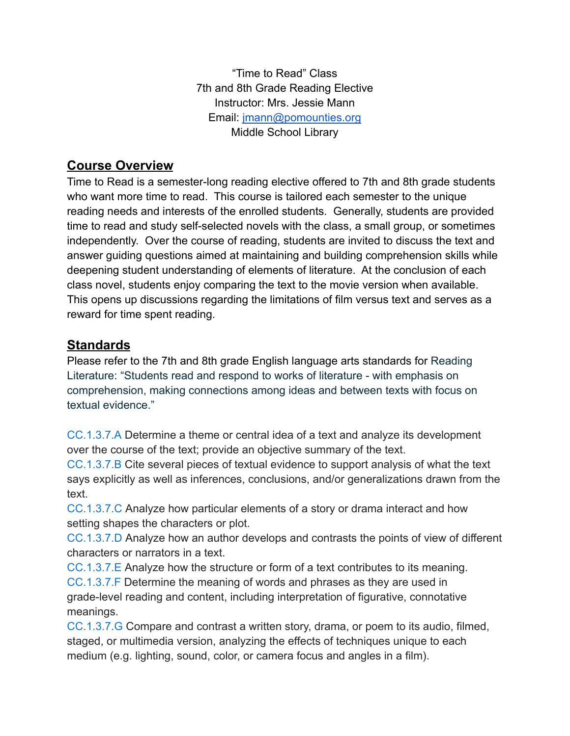"Time to Read" Class 7th and 8th Grade Reading Elective Instructor: Mrs. Jessie Mann Email: [jmann@pomounties.org](mailto:jmann@pomounties.org) Middle School Library

## **Course Overview**

Time to Read is a semester-long reading elective offered to 7th and 8th grade students who want more time to read. This course is tailored each semester to the unique reading needs and interests of the enrolled students. Generally, students are provided time to read and study self-selected novels with the class, a small group, or sometimes independently. Over the course of reading, students are invited to discuss the text and answer guiding questions aimed at maintaining and building comprehension skills while deepening student understanding of elements of literature. At the conclusion of each class novel, students enjoy comparing the text to the movie version when available. This opens up discussions regarding the limitations of film versus text and serves as a reward for time spent reading.

## **Standards**

Please refer to the 7th and 8th grade English language arts standards for Reading Literature: "Students read and respond to works of literature - with emphasis on comprehension, making connections among ideas and between texts with focus on textual evidence."

[CC.1.3.7.A](https://www.pdesas.org/Standard/Detail?LinkStandardId=0&StandardId=160320) Determine a theme or central idea of a text and analyze its development over the course of the text; provide an objective summary of the text.

[CC.1.3.7.B](https://www.pdesas.org/Standard/Detail?LinkStandardId=0&StandardId=160321) Cite several pieces of textual evidence to support analysis of what the text says explicitly as well as inferences, conclusions, and/or generalizations drawn from the text.

[CC.1.3.7.C](https://www.pdesas.org/Standard/Detail?LinkStandardId=0&StandardId=160319) Analyze how particular elements of a story or drama interact and how setting shapes the characters or plot.

[CC.1.3.7.D](https://www.pdesas.org/Standard/Detail?LinkStandardId=0&StandardId=160322) Analyze how an author develops and contrasts the points of view of different characters or narrators in a text.

[CC.1.3.7.E](https://www.pdesas.org/Standard/Detail?LinkStandardId=0&StandardId=160323) Analyze how the structure or form of a text contributes to its meaning. [CC.1.3.7.F](https://www.pdesas.org/Standard/Detail?LinkStandardId=0&StandardId=160324) Determine the meaning of words and phrases as they are used in grade-level reading and content, including interpretation of figurative, connotative meanings.

[CC.1.3.7.G](https://www.pdesas.org/Standard/Detail?LinkStandardId=0&StandardId=160325) Compare and contrast a written story, drama, or poem to its audio, filmed, staged, or multimedia version, analyzing the effects of techniques unique to each medium (e.g. lighting, sound, color, or camera focus and angles in a film).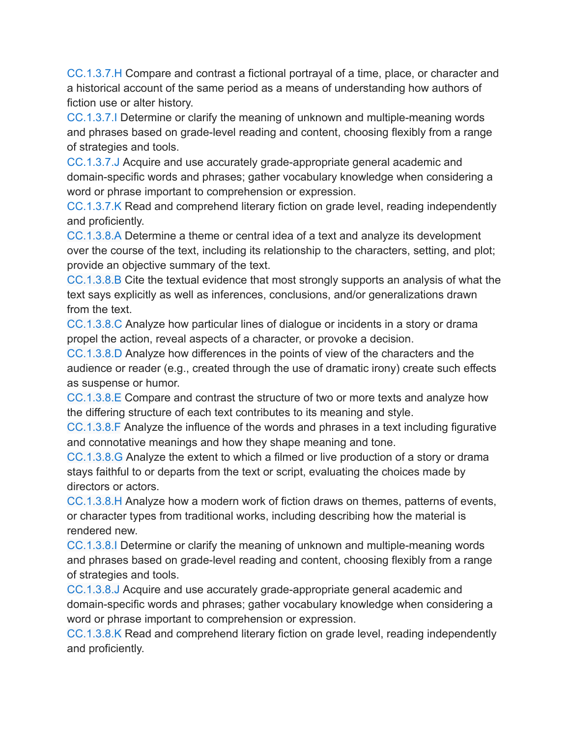[CC.1.3.7.H](https://www.pdesas.org/Standard/Detail?LinkStandardId=0&StandardId=160326) Compare and contrast a fictional portrayal of a time, place, or character and a historical account of the same period as a means of understanding how authors of fiction use or alter history.

[CC.1.3.7.I](https://www.pdesas.org/Standard/Detail?LinkStandardId=0&StandardId=160327) Determine or clarify the meaning of unknown and multiple-meaning words and phrases based on grade-level reading and content, choosing flexibly from a range of strategies and tools.

[CC.1.3.7.J](https://www.pdesas.org/Standard/Detail?LinkStandardId=0&StandardId=160328) Acquire and use accurately grade-appropriate general academic and domain-specific words and phrases; gather vocabulary knowledge when considering a word or phrase important to comprehension or expression.

[CC.1.3.7.K](https://www.pdesas.org/Standard/Detail?LinkStandardId=0&StandardId=160329) Read and comprehend literary fiction on grade level, reading independently and proficiently.

[CC.1.3.8.A](https://www.pdesas.org/Standard/Detail?LinkStandardId=0&StandardId=160331) Determine a theme or central idea of a text and analyze its development over the course of the text, including its relationship to the characters, setting, and plot; provide an objective summary of the text.

[CC.1.3.8.B](https://www.pdesas.org/Standard/Detail?LinkStandardId=0&StandardId=160332) Cite the textual evidence that most strongly supports an analysis of what the text says explicitly as well as inferences, conclusions, and/or generalizations drawn from the text.

[CC.1.3.8.C](https://www.pdesas.org/Standard/Detail?LinkStandardId=0&StandardId=160330) Analyze how particular lines of dialogue or incidents in a story or drama propel the action, reveal aspects of a character, or provoke a decision.

[CC.1.3.8.D](https://www.pdesas.org/Standard/Detail?LinkStandardId=0&StandardId=160333) Analyze how differences in the points of view of the characters and the audience or reader (e.g., created through the use of dramatic irony) create such effects as suspense or humor.

[CC.1.3.8.E](https://www.pdesas.org/Standard/Detail?LinkStandardId=0&StandardId=160334) Compare and contrast the structure of two or more texts and analyze how the differing structure of each text contributes to its meaning and style.

[CC.1.3.8.F](https://www.pdesas.org/Standard/Detail?LinkStandardId=0&StandardId=160335) Analyze the influence of the words and phrases in a text including figurative and connotative meanings and how they shape meaning and tone.

[CC.1.3.8.G](https://www.pdesas.org/Standard/Detail?LinkStandardId=0&StandardId=160336) Analyze the extent to which a filmed or live production of a story or drama stays faithful to or departs from the text or script, evaluating the choices made by directors or actors.

[CC.1.3.8.H](https://www.pdesas.org/Standard/Detail?LinkStandardId=0&StandardId=160337) Analyze how a modern work of fiction draws on themes, patterns of events, or character types from traditional works, including describing how the material is rendered new.

[CC.1.3.8.I](https://www.pdesas.org/Standard/Detail?LinkStandardId=0&StandardId=160338) Determine or clarify the meaning of unknown and multiple-meaning words and phrases based on grade-level reading and content, choosing flexibly from a range of strategies and tools.

[CC.1.3.8.J](https://www.pdesas.org/Standard/Detail?LinkStandardId=0&StandardId=160339) Acquire and use accurately grade-appropriate general academic and domain-specific words and phrases; gather vocabulary knowledge when considering a word or phrase important to comprehension or expression.

[CC.1.3.8.K](https://www.pdesas.org/Standard/Detail?LinkStandardId=0&StandardId=160340) Read and comprehend literary fiction on grade level, reading independently and proficiently.